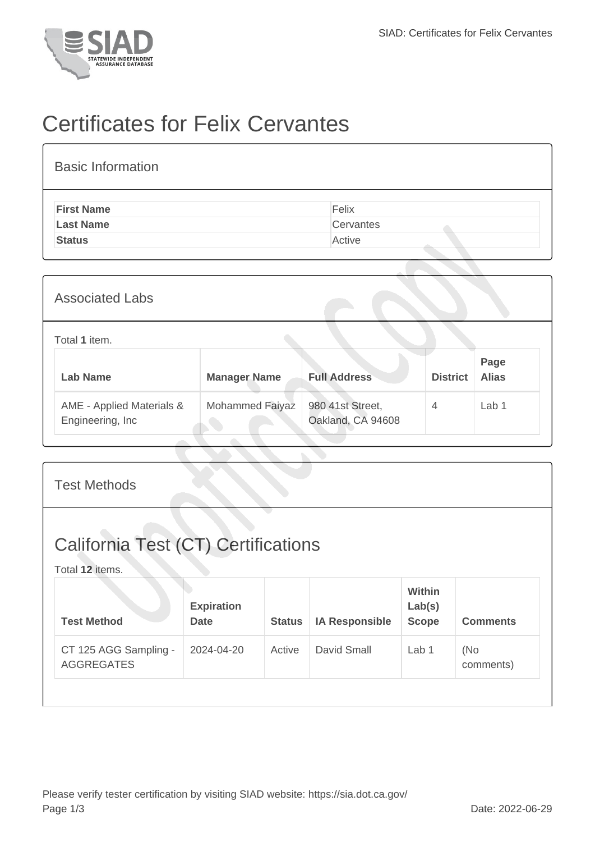

## Certificates for Felix Cervantes

| <b>Basic Information</b> |           |
|--------------------------|-----------|
| <b>First Name</b>        | Felix     |
| <b>Last Name</b>         | Cervantes |
| <b>Status</b>            | Active    |

| <b>Associated Labs</b>                         |                     |                                       |                 |                      |
|------------------------------------------------|---------------------|---------------------------------------|-----------------|----------------------|
| Total 1 item.                                  |                     |                                       |                 |                      |
| Lab Name                                       | <b>Manager Name</b> | <b>Full Address</b>                   | <b>District</b> | Page<br><b>Alias</b> |
| AME - Applied Materials &<br>Engineering, Inc. | Mohammed Faiyaz     | 980 41st Street,<br>Oakland, CA 94608 | $\overline{4}$  | Lab <sub>1</sub>     |

| <b>Test Methods</b>                                           |                                  |               |                       |                                         |                  |
|---------------------------------------------------------------|----------------------------------|---------------|-----------------------|-----------------------------------------|------------------|
| <b>California Test (CT) Certifications</b><br>Total 12 items. |                                  |               |                       |                                         |                  |
| <b>Test Method</b>                                            | <b>Expiration</b><br><b>Date</b> | <b>Status</b> | <b>IA Responsible</b> | <b>Within</b><br>Lab(s)<br><b>Scope</b> | <b>Comments</b>  |
| CT 125 AGG Sampling -<br><b>AGGREGATES</b>                    | 2024-04-20                       | Active        | <b>David Small</b>    | Lab 1                                   | (No<br>comments) |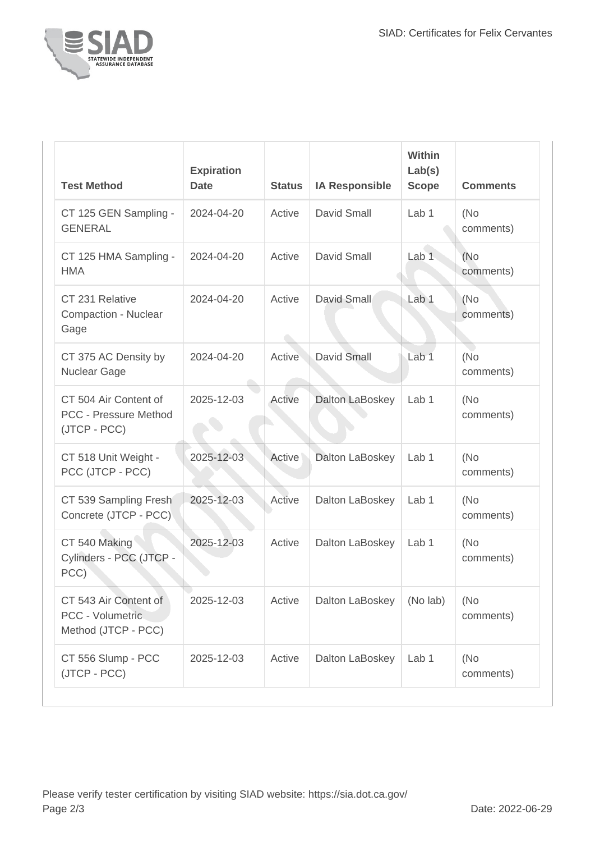

| <b>Test Method</b>                                                    | <b>Expiration</b><br><b>Date</b> | <b>Status</b> | <b>IA Responsible</b> | <b>Within</b><br>Lab(s)<br><b>Scope</b> | <b>Comments</b>   |
|-----------------------------------------------------------------------|----------------------------------|---------------|-----------------------|-----------------------------------------|-------------------|
| CT 125 GEN Sampling -<br><b>GENERAL</b>                               | 2024-04-20                       | Active        | <b>David Small</b>    | Lab <sub>1</sub>                        | (No<br>comments)  |
| CT 125 HMA Sampling -<br><b>HMA</b>                                   | 2024-04-20                       | Active        | David Small           | Lab <sub>1</sub>                        | (No)<br>comments) |
| CT 231 Relative<br>Compaction - Nuclear<br>Gage                       | 2024-04-20                       | Active        | David Small           | Lab 1                                   | (No<br>comments)  |
| CT 375 AC Density by<br><b>Nuclear Gage</b>                           | 2024-04-20                       | Active        | David Small           | Lab <sub>1</sub>                        | (No<br>comments)  |
| CT 504 Air Content of<br><b>PCC - Pressure Method</b><br>(JTCP - PCC) | 2025-12-03                       | Active        | Dalton LaBoskey       | Lab 1                                   | (No<br>comments)  |
| CT 518 Unit Weight -<br>PCC (JTCP - PCC)                              | 2025-12-03                       | Active        | Dalton LaBoskey       | Lab 1                                   | (No<br>comments)  |
| CT 539 Sampling Fresh<br>Concrete (JTCP - PCC)                        | 2025-12-03                       | Active        | Dalton LaBoskey       | Lab 1                                   | (No<br>comments)  |
| CT 540 Making<br>Cylinders - PCC (JTCP -<br>PCC)                      | 2025-12-03                       | Active        | Dalton LaBoskey       | Lab 1                                   | (No<br>comments)  |
| CT 543 Air Content of<br>PCC - Volumetric<br>Method (JTCP - PCC)      | 2025-12-03                       | Active        | Dalton LaBoskey       | (No lab)                                | (No<br>comments)  |
| CT 556 Slump - PCC<br>(JTCP - PCC)                                    | 2025-12-03                       | Active        | Dalton LaBoskey       | Lab 1                                   | (No<br>comments)  |